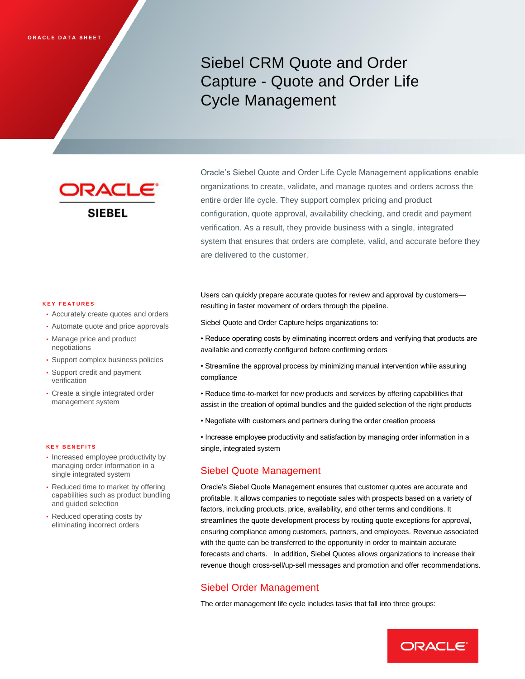# Siebel CRM Quote and Order Capture - Quote and Order Life Cycle Management

**JRACL SIEBEL** 

Oracle's Siebel Quote and Order Life Cycle Management applications enable organizations to create, validate, and manage quotes and orders across the entire order life cycle. They support complex pricing and product configuration, quote approval, availability checking, and credit and payment verification. As a result, they provide business with a single, integrated system that ensures that orders are complete, valid, and accurate before they are delivered to the customer.

#### **K E Y F E A T U R E S**

- Accurately create quotes and orders
- Automate quote and price approvals
- Manage price and product negotiations
- Support complex business policies
- Support credit and payment verification
- Create a single integrated order management system

#### **K E Y B E N E F I T S**

- Increased employee productivity by managing order information in a single integrated system
- Reduced time to market by offering capabilities such as product bundling and guided selection
- Reduced operating costs by eliminating incorrect orders

Users can quickly prepare accurate quotes for review and approval by customers resulting in faster movement of orders through the pipeline.

Siebel Quote and Order Capture helps organizations to:

- Reduce operating costs by eliminating incorrect orders and verifying that products are available and correctly configured before confirming orders
- Streamline the approval process by minimizing manual intervention while assuring compliance
- Reduce time-to-market for new products and services by offering capabilities that assist in the creation of optimal bundles and the guided selection of the right products
- Negotiate with customers and partners during the order creation process

• Increase employee productivity and satisfaction by managing order information in a single, integrated system

### Siebel Quote Management

Oracle's Siebel Quote Management ensures that customer quotes are accurate and profitable. It allows companies to negotiate sales with prospects based on a variety of factors, including products, price, availability, and other terms and conditions. It streamlines the quote development process by routing quote exceptions for approval, ensuring compliance among customers, partners, and employees. Revenue associated with the quote can be transferred to the opportunity in order to maintain accurate forecasts and charts. In addition, Siebel Quotes allows organizations to increase their revenue though cross-sell/up-sell messages and promotion and offer recommendations.

### Siebel Order Management

The order management life cycle includes tasks that fall into three groups:

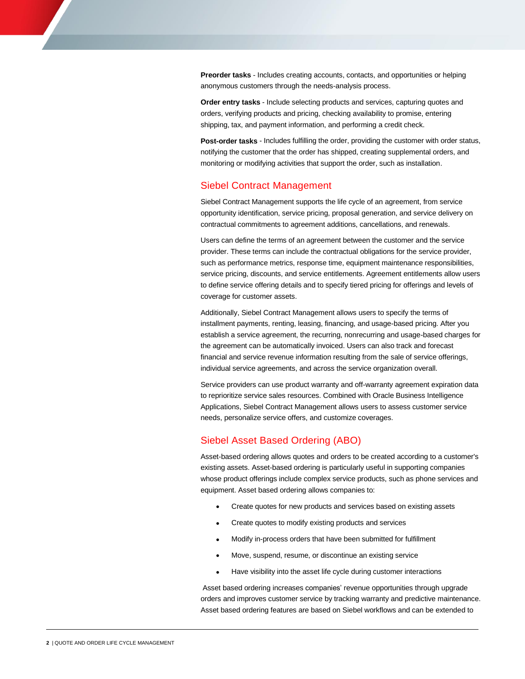**Preorder tasks** - Includes creating accounts, contacts, and opportunities or helping anonymous customers through the needs-analysis process.

**Order entry tasks** - Include selecting products and services, capturing quotes and orders, verifying products and pricing, checking availability to promise, entering shipping, tax, and payment information, and performing a credit check.

**Post-order tasks** - Includes fulfilling the order, providing the customer with order status, notifying the customer that the order has shipped, creating supplemental orders, and monitoring or modifying activities that support the order, such as installation.

#### Siebel Contract Management

Siebel Contract Management supports the life cycle of an agreement, from service opportunity identification, service pricing, proposal generation, and service delivery on contractual commitments to agreement additions, cancellations, and renewals.

Users can define the terms of an agreement between the customer and the service provider. These terms can include the contractual obligations for the service provider, such as performance metrics, response time, equipment maintenance responsibilities, service pricing, discounts, and service entitlements. Agreement entitlements allow users to define service offering details and to specify tiered pricing for offerings and levels of coverage for customer assets.

Additionally, Siebel Contract Management allows users to specify the terms of installment payments, renting, leasing, financing, and usage-based pricing. After you establish a service agreement, the recurring, nonrecurring and usage-based charges for the agreement can be automatically invoiced. Users can also track and forecast financial and service revenue information resulting from the sale of service offerings, individual service agreements, and across the service organization overall.

Service providers can use product warranty and off-warranty agreement expiration data to reprioritize service sales resources. Combined with Oracle Business Intelligence Applications, Siebel Contract Management allows users to assess customer service needs, personalize service offers, and customize coverages.

### Siebel Asset Based Ordering (ABO)

Asset-based ordering allows quotes and orders to be created according to a customer's existing assets. Asset-based ordering is particularly useful in supporting companies whose product offerings include complex service products, such as phone services and equipment. Asset based ordering allows companies to:

- Create quotes for new products and services based on existing assets
- Create quotes to modify existing products and services
- Modify in-process orders that have been submitted for fulfillment
- Move, suspend, resume, or discontinue an existing service
- Have visibility into the asset life cycle during customer interactions

Asset based ordering increases companies' revenue opportunities through upgrade orders and improves customer service by tracking warranty and predictive maintenance. Asset based ordering features are based on Siebel workflows and can be extended to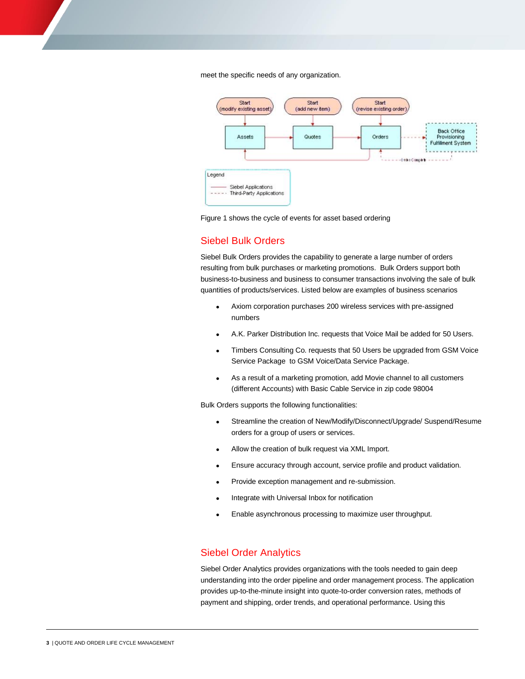meet the specific needs of any organization.





## Siebel Bulk Orders

Siebel Bulk Orders provides the capability to generate a large number of orders resulting from bulk purchases or marketing promotions. Bulk Orders support both business-to-business and business to consumer transactions involving the sale of bulk quantities of products/services. Listed below are examples of business scenarios

- Axiom corporation purchases 200 wireless services with pre-assigned numbers
- A.K. Parker Distribution Inc. requests that Voice Mail be added for 50 Users.
- Timbers Consulting Co. requests that 50 Users be upgraded from GSM Voice Service Package to GSM Voice/Data Service Package.
- As a result of a marketing promotion, add Movie channel to all customers (different Accounts) with Basic Cable Service in zip code 98004

Bulk Orders supports the following functionalities:

- Streamline the creation of New/Modify/Disconnect/Upgrade/ Suspend/Resume orders for a group of users or services.
- Allow the creation of bulk request via XML Import.
- Ensure accuracy through account, service profile and product validation.
- Provide exception management and re-submission.
- Integrate with Universal Inbox for notification
- Enable asynchronous processing to maximize user throughput.

## Siebel Order Analytics

Siebel Order Analytics provides organizations with the tools needed to gain deep understanding into the order pipeline and order management process. The application provides up-to-the-minute insight into quote-to-order conversion rates, methods of payment and shipping, order trends, and operational performance. Using this